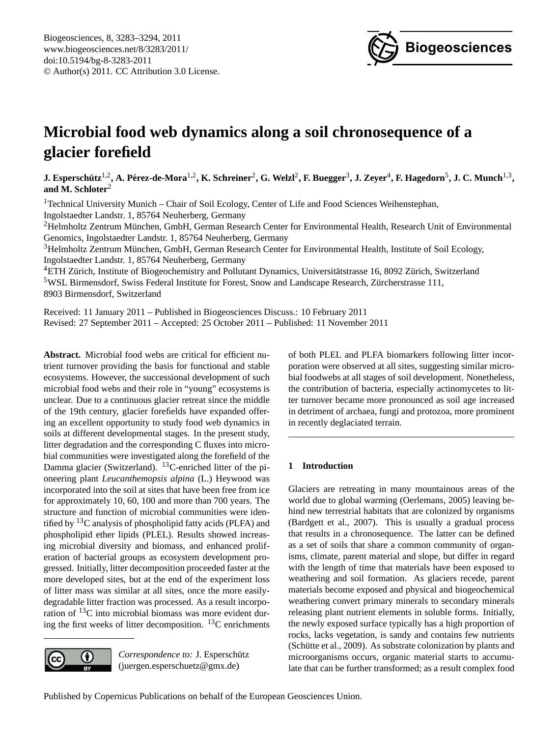

# <span id="page-0-0"></span>**Microbial food web dynamics along a soil chronosequence of a glacier forefield**

 $\bf J.$  Esperschütz<sup>1,2</sup>, A. Pérez-de-Mora<sup>1,2</sup>, K. Schreiner<sup>2</sup>, G. Welzl<sup>2</sup>, F. Buegger<sup>3</sup>, **J.** Zeyer<sup>4</sup>, F. Hagedorn<sup>5</sup>, J. C. Munch<sup>1,3</sup>, **and M. Schloter**<sup>2</sup>

<sup>1</sup> Technical University Munich – Chair of Soil Ecology, Center of Life and Food Sciences Weihenstephan, Ingolstaedter Landstr. 1, 85764 Neuherberg, Germany

<sup>2</sup>Helmholtz Zentrum München, GmbH, German Research Center for Environmental Health, Research Unit of Environmental Genomics, Ingolstaedter Landstr. 1, 85764 Neuherberg, Germany

<sup>3</sup>Helmholtz Zentrum Munchen, GmbH, German Research Center for Environmental Health, Institute of Soil Ecology, ¨ Ingolstaedter Landstr. 1, 85764 Neuherberg, Germany

 $4ETH$  Zürich, Institute of Biogeochemistry and Pollutant Dynamics, Universitätstrasse 16, 8092 Zürich, Switzerland <sup>5</sup>WSL Birmensdorf, Swiss Federal Institute for Forest, Snow and Landscape Research, Zürcherstrasse 111, 8903 Birmensdorf, Switzerland

Received: 11 January 2011 – Published in Biogeosciences Discuss.: 10 February 2011 Revised: 27 September 2011 – Accepted: 25 October 2011 – Published: 11 November 2011

**Abstract.** Microbial food webs are critical for efficient nutrient turnover providing the basis for functional and stable ecosystems. However, the successional development of such microbial food webs and their role in "young" ecosystems is unclear. Due to a continuous glacier retreat since the middle of the 19th century, glacier forefields have expanded offering an excellent opportunity to study food web dynamics in soils at different developmental stages. In the present study, litter degradation and the corresponding C fluxes into microbial communities were investigated along the forefield of the Damma glacier (Switzerland). <sup>13</sup>C-enriched litter of the pioneering plant *Leucanthemopsis alpina* (L.) Heywood was incorporated into the soil at sites that have been free from ice for approximately 10, 60, 100 and more than 700 years. The structure and function of microbial communities were identified by  ${}^{13}C$  analysis of phospholipid fatty acids (PLFA) and phospholipid ether lipids (PLEL). Results showed increasing microbial diversity and biomass, and enhanced proliferation of bacterial groups as ecosystem development progressed. Initially, litter decomposition proceeded faster at the more developed sites, but at the end of the experiment loss of litter mass was similar at all sites, once the more easilydegradable litter fraction was processed. As a result incorporation of  $^{13}$ C into microbial biomass was more evident during the first weeks of litter decomposition.  ${}^{13}C$  enrichments



*Correspondence to:* J. Esperschütz (juergen.esperschuetz@gmx.de)

of both PLEL and PLFA biomarkers following litter incorporation were observed at all sites, suggesting similar microbial foodwebs at all stages of soil development. Nonetheless, the contribution of bacteria, especially actinomycetes to litter turnover became more pronounced as soil age increased in detriment of archaea, fungi and protozoa, more prominent in recently deglaciated terrain.

# **1 Introduction**

Glaciers are retreating in many mountainous areas of the world due to global warming (Oerlemans, 2005) leaving behind new terrestrial habitats that are colonized by organisms (Bardgett et al., 2007). This is usually a gradual process that results in a chronosequence. The latter can be defined as a set of soils that share a common community of organisms, climate, parent material and slope, but differ in regard with the length of time that materials have been exposed to weathering and soil formation. As glaciers recede, parent materials become exposed and physical and biogeochemical weathering convert primary minerals to secondary minerals releasing plant nutrient elements in soluble forms. Initially, the newly exposed surface typically has a high proportion of rocks, lacks vegetation, is sandy and contains few nutrients  $(Schütte et al., 2009)$ . As substrate colonization by plants and microorganisms occurs, organic material starts to accumulate that can be further transformed; as a result complex food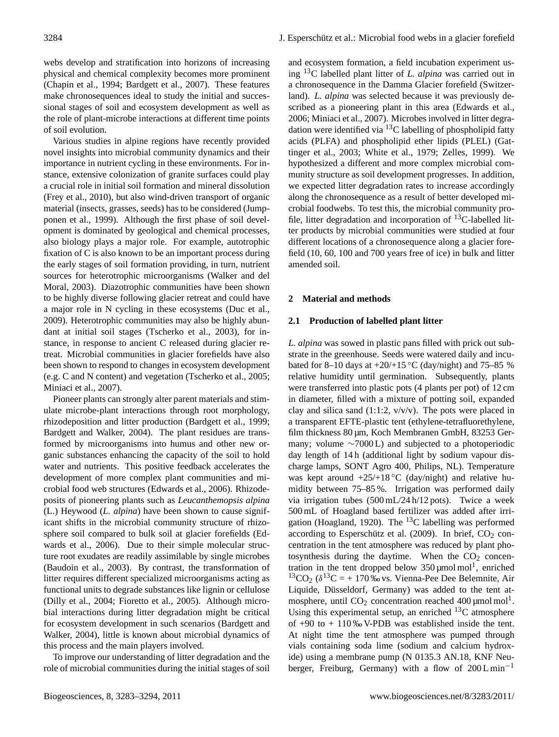webs develop and stratification into horizons of increasing physical and chemical complexity becomes more prominent (Chapin et al., 1994; Bardgett et al., 2007). These features make chronosequences ideal to study the initial and successional stages of soil and ecosystem development as well as the role of plant-microbe interactions at different time points of soil evolution.

Various studies in alpine regions have recently provided novel insights into microbial community dynamics and their importance in nutrient cycling in these environments. For instance, extensive colonization of granite surfaces could play a crucial role in initial soil formation and mineral dissolution (Frey et al., 2010), but also wind-driven transport of organic material (insects, grasses, seeds) has to be considered (Jumpponen et al., 1999). Although the first phase of soil development is dominated by geological and chemical processes, also biology plays a major role. For example, autotrophic fixation of C is also known to be an important process during the early stages of soil formation providing, in turn, nutrient sources for heterotrophic microorganisms (Walker and del Moral, 2003). Diazotrophic communities have been shown to be highly diverse following glacier retreat and could have a major role in N cycling in these ecosystems (Duc et al., 2009). Heterotrophic communities may also be highly abundant at initial soil stages (Tscherko et al., 2003), for instance, in response to ancient C released during glacier retreat. Microbial communities in glacier forefields have also been shown to respond to changes in ecosystem development (e.g. C and N content) and vegetation (Tscherko et al., 2005; Miniaci et al., 2007).

Pioneer plants can strongly alter parent materials and stimulate microbe-plant interactions through root morphology, rhizodeposition and litter production (Bardgett et al., 1999; Bardgett and Walker, 2004). The plant residues are transformed by microorganisms into humus and other new organic substances enhancing the capacity of the soil to hold water and nutrients. This positive feedback accelerates the development of more complex plant communities and microbial food web structures (Edwards et al., 2006). Rhizodeposits of pioneering plants such as *Leucanthemopsis alpina* (L.) Heywood (*L. alpina*) have been shown to cause significant shifts in the microbial community structure of rhizosphere soil compared to bulk soil at glacier forefields (Edwards et al., 2006). Due to their simple molecular structure root exudates are readily assimilable by single microbes (Baudoin et al., 2003). By contrast, the transformation of litter requires different specialized microorganisms acting as functional units to degrade substances like lignin or cellulose (Dilly et al., 2004; Fioretto et al., 2005). Although microbial interactions during litter degradation might be critical for ecosystem development in such scenarios (Bardgett and Walker, 2004), little is known about microbial dynamics of this process and the main players involved.

To improve our understanding of litter degradation and the role of microbial communities during the initial stages of soil and ecosystem formation, a field incubation experiment using <sup>13</sup>C labelled plant litter of *L. alpina* was carried out in a chronosequence in the Damma Glacier forefield (Switzerland). *L. alpina* was selected because it was previously described as a pioneering plant in this area (Edwards et al., 2006; Miniaci et al., 2007). Microbes involved in litter degradation were identified via <sup>13</sup>C labelling of phospholipid fatty acids (PLFA) and phospholipid ether lipids (PLEL) (Gattinger et al., 2003; White et al., 1979; Zelles, 1999). We hypothesized a different and more complex microbial community structure as soil development progresses. In addition, we expected litter degradation rates to increase accordingly along the chronosequence as a result of better developed microbial foodwebs. To test this, the microbial community profile, litter degradation and incorporation of  $^{13}$ C-labelled litter products by microbial communities were studied at four different locations of a chronosequence along a glacier forefield (10, 60, 100 and 700 years free of ice) in bulk and litter amended soil.

# **2 Material and methods**

#### **2.1 Production of labelled plant litter**

*L. alpina* was sowed in plastic pans filled with prick out substrate in the greenhouse. Seeds were watered daily and incubated for 8–10 days at  $+20/+15\degree C$  (day/night) and 75–85 % relative humidity until germination. Subsequently, plants were transferred into plastic pots (4 plants per pot) of 12 cm in diameter, filled with a mixture of potting soil, expanded clay and silica sand  $(1:1:2, v/v/v)$ . The pots were placed in a transparent EFTE-plastic tent (ethylene-tetrafluorethylene, film thickness 80 µm, Koch Membranen GmbH, 83253 Germany; volume  $\sim$ 7000 L) and subjected to a photoperiodic day length of 14 h (additional light by sodium vapour discharge lamps, SONT Agro 400, Philips, NL). Temperature was kept around  $+25/+18\degree C$  (day/night) and relative humidity between 75–85 %. Irrigation was performed daily via irrigation tubes (500 mL/24 h/12 pots). Twice a week 500 mL of Hoagland based fertilizer was added after irrigation (Hoagland, 1920). The  $^{13}$ C labelling was performed according to Esperschütz et al. (2009). In brief,  $CO<sub>2</sub>$  concentration in the tent atmosphere was reduced by plant photosynthesis during the daytime. When the  $CO<sub>2</sub>$  concentration in the tent dropped below  $350 \mu$ mol mol<sup>1</sup>, enriched  ${}^{13}CO_2$  ( $\delta {}^{13}C = +170$  ‰ vs. Vienna-Pee Dee Belemnite, Air Liquide, Düsseldorf, Germany) was added to the tent atmosphere, until  $CO<sub>2</sub>$  concentration reached 400 µmol mol<sup>1</sup>. Using this experimental setup, an enriched  $^{13}$ C atmosphere of  $+90$  to  $+110\%$  V-PDB was established inside the tent. At night time the tent atmosphere was pumped through vials containing soda lime (sodium and calcium hydroxide) using a membrane pump (N 0135.3 AN.18, KNF Neuberger, Freiburg, Germany) with a flow of  $200 L \text{min}^{-1}$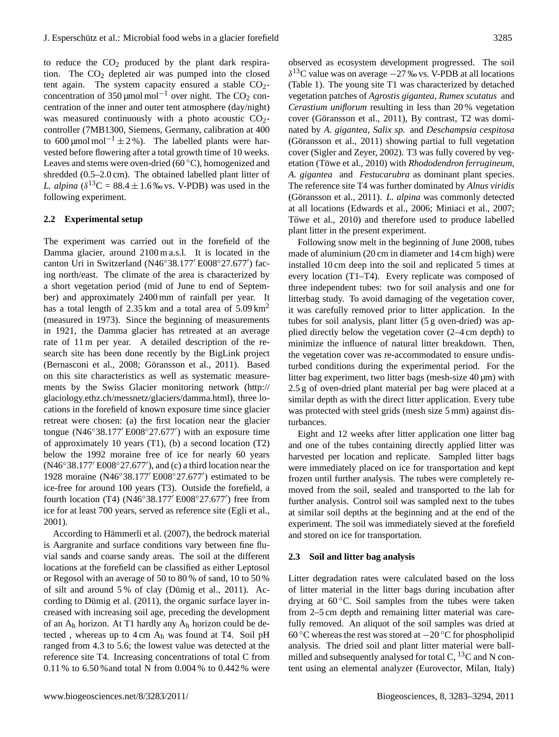to reduce the  $CO<sub>2</sub>$  produced by the plant dark respiration. The  $CO<sub>2</sub>$  depleted air was pumped into the closed tent again. The system capacity ensured a stable  $CO<sub>2</sub>$ concentration of 350 µmol mol<sup>-1</sup> over night. The CO<sub>2</sub> concentration of the inner and outer tent atmosphere (day/night) was measured continuously with a photo acoustic  $CO<sub>2</sub>$ controller (7MB1300, Siemens, Germany, calibration at 400 to 600 µmol mol<sup>-1</sup> ± 2 %). The labelled plants were harvested before flowering after a total growth time of 10 weeks. Leaves and stems were oven-dried (60 ◦C), homogenized and shredded (0.5–2.0 cm). The obtained labelled plant litter of *L. alpina* ( $\delta^{13}C = 88.4 \pm 1.6$  ‰ vs. V-PDB) was used in the following experiment.

# **2.2 Experimental setup**

The experiment was carried out in the forefield of the Damma glacier, around 2100 m a.s.l. It is located in the canton Uri in Switzerland (N46°38.177' E008°27.677') facing north/east. The climate of the area is characterized by a short vegetation period (mid of June to end of September) and approximately 2400 mm of rainfall per year. It has a total length of  $2.35 \text{ km}$  and a total area of  $5.09 \text{ km}^2$ (measured in 1973). Since the beginning of measurements in 1921, the Damma glacier has retreated at an average rate of 11 m per year. A detailed description of the research site has been done recently by the BigLink project (Bernasconi et al., 2008; Göransson et al., 2011). Based on this site characteristics as well as systematic measurements by the Swiss Glacier monitoring network [\(http://](http://glaciology.ethz.ch/messnetz/glaciers/damma.html) [glaciology.ethz.ch/messnetz/glaciers/damma.html\)](http://glaciology.ethz.ch/messnetz/glaciers/damma.html), three locations in the forefield of known exposure time since glacier retreat were chosen: (a) the first location near the glacier tongue (N46°38.177' E008°27.677') with an exposure time of approximately 10 years (T1), (b) a second location (T2) below the 1992 moraine free of ice for nearly 60 years (N46°38.177' E008°27.677'), and (c) a third location near the 1928 moraine (N46°38.177' E008°27.677') estimated to be ice-free for around 100 years (T3). Outside the forefield, a fourth location (T4) (N46°38.177' E008°27.677') free from ice for at least 700 years, served as reference site (Egli et al., 2001).

According to Hämmerli et al. (2007), the bedrock material is Aargranite and surface conditions vary between fine fluvial sands and coarse sandy areas. The soil at the different locations at the forefield can be classified as either Leptosol or Regosol with an average of 50 to 80 % of sand, 10 to 50 % of silt and around  $5\%$  of clay (Dümig et al., 2011). According to Dümig et al.  $(2011)$ , the organic surface layer increased with increasing soil age, preceding the development of an  $A_h$  horizon. At T1 hardly any  $A_h$  horizon could be detected , whereas up to 4 cm A<sup>h</sup> was found at T4. Soil pH ranged from 4.3 to 5.6; the lowest value was detected at the reference site T4. Increasing concentrations of total C from 0.11 % to 6.50 %and total N from 0.004 % to 0.442 % were observed as ecosystem development progressed. The soil  $\delta^{13}$ C value was on average  $-27$  ‰ vs. V-PDB at all locations (Table 1). The young site T1 was characterized by detached vegetation patches of *Agrostis gigantea, Rumex scutatus* and *Cerastium uniflorum* resulting in less than 20 % vegetation cover (Göransson et al., 2011), By contrast, T2 was dominated by *A. gigantea, Salix sp.* and *Deschampsia cespitosa* (Göransson et al.,  $2011$ ) showing partial to full vegetation cover (Sigler and Zeyer, 2002). T3 was fully covered by vegetation (Töwe et al., 2010) with *Rhododendron ferrugineum*, *A. gigantea* and *Festucarubra* as dominant plant species. The reference site T4 was further dominated by *Alnus viridis* (Göransson et al., 2011). *L. alpina* was commonly detected at all locations (Edwards et al., 2006; Miniaci et al., 2007; Towe et al., 2010) and therefore used to produce labelled plant litter in the present experiment.

Following snow melt in the beginning of June 2008, tubes made of aluminium (20 cm in diameter and 14 cm high) were installed 10 cm deep into the soil and replicated 5 times at every location (T1–T4). Every replicate was composed of three independent tubes: two for soil analysis and one for litterbag study. To avoid damaging of the vegetation cover, it was carefully removed prior to litter application. In the tubes for soil analysis, plant litter (5 g oven-dried) was applied directly below the vegetation cover (2–4 cm depth) to minimize the influence of natural litter breakdown. Then, the vegetation cover was re-accommodated to ensure undisturbed conditions during the experimental period. For the litter bag experiment, two litter bags (mesh-size 40 µm) with 2.5 g of oven-dried plant material per bag were placed at a similar depth as with the direct litter application. Every tube was protected with steel grids (mesh size 5 mm) against disturbances.

Eight and 12 weeks after litter application one litter bag and one of the tubes containing directly applied litter was harvested per location and replicate. Sampled litter bags were immediately placed on ice for transportation and kept frozen until further analysis. The tubes were completely removed from the soil, sealed and transported to the lab for further analysis. Control soil was sampled next to the tubes at similar soil depths at the beginning and at the end of the experiment. The soil was immediately sieved at the forefield and stored on ice for transportation.

#### **2.3 Soil and litter bag analysis**

Litter degradation rates were calculated based on the loss of litter material in the litter bags during incubation after drying at  $60^{\circ}$ C. Soil samples from the tubes were taken from 2–5 cm depth and remaining litter material was carefully removed. An aliquot of the soil samples was dried at 60 ◦C whereas the rest was stored at −20 ◦C for phospholipid analysis. The dried soil and plant litter material were ballmilled and subsequently analysed for total C,  ${}^{13}C$  and N content using an elemental analyzer (Eurovector, Milan, Italy)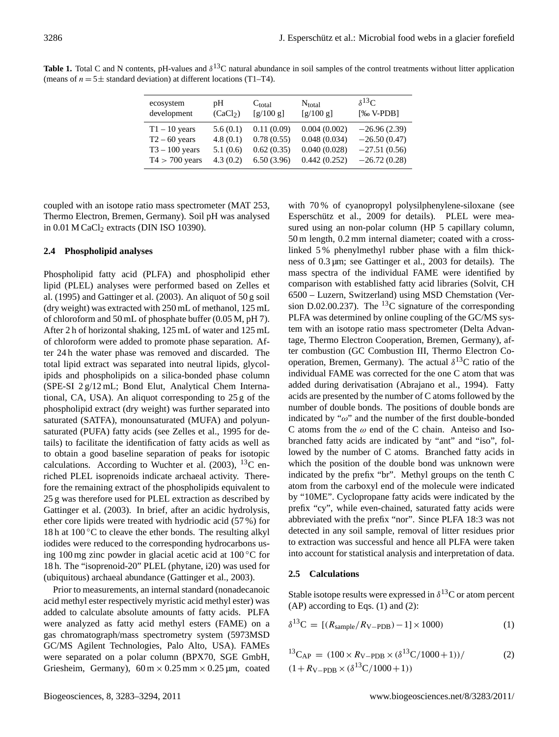| <b>Table 1.</b> Total C and N contents, pH-values and $\delta^{13}$ C natural abundance in soil samples of the control treatments without litter application |  |  |  |
|--------------------------------------------------------------------------------------------------------------------------------------------------------------|--|--|--|
| (means of $n = 5 \pm$ standard deviation) at different locations (T1–T4).                                                                                    |  |  |  |

| ecosystem        | рH                   | $C_{total}$ | $N_{total}$  | $\delta^{13}C$ |
|------------------|----------------------|-------------|--------------|----------------|
| development      | (CaCl <sub>2</sub> ) | [g/100 g]   | [g/100 g]    | $[%o V-PDB]$   |
| $T1 - 10$ years  | 5.6(0.1)             | 0.11(0.09)  | 0.004(0.002) | $-26.96(2.39)$ |
| $T2 - 60$ years  | 4.8(0.1)             | 0.78(0.55)  | 0.048(0.034) | $-26.50(0.47)$ |
| $T3 - 100$ years | 5.1(0.6)             | 0.62(0.35)  | 0.040(0.028) | $-27.51(0.56)$ |
| $T4 > 700$ years | 4.3(0.2)             | 6.50(3.96)  | 0.442(0.252) | $-26.72(0.28)$ |

coupled with an isotope ratio mass spectrometer (MAT 253, Thermo Electron, Bremen, Germany). Soil pH was analysed in  $0.01$  M CaCl<sub>2</sub> extracts (DIN ISO 10390).

# **2.4 Phospholipid analyses**

Phospholipid fatty acid (PLFA) and phospholipid ether lipid (PLEL) analyses were performed based on Zelles et al. (1995) and Gattinger et al. (2003). An aliquot of 50 g soil (dry weight) was extracted with 250 mL of methanol, 125 mL of chloroform and 50 mL of phosphate buffer (0.05 M, pH 7). After 2 h of horizontal shaking, 125 mL of water and 125 mL of chloroform were added to promote phase separation. After 24 h the water phase was removed and discarded. The total lipid extract was separated into neutral lipids, glycolipids and phospholipids on a silica-bonded phase column (SPE-SI 2 g/12 mL; Bond Elut, Analytical Chem International, CA, USA). An aliquot corresponding to 25 g of the phospholipid extract (dry weight) was further separated into saturated (SATFA), monounsaturated (MUFA) and polyunsaturated (PUFA) fatty acids (see Zelles et al., 1995 for details) to facilitate the identification of fatty acids as well as to obtain a good baseline separation of peaks for isotopic calculations. According to Wuchter et al.  $(2003)$ , <sup>13</sup>C enriched PLEL isoprenoids indicate archaeal activity. Therefore the remaining extract of the phospholipids equivalent to 25 g was therefore used for PLEL extraction as described by Gattinger et al. (2003). In brief, after an acidic hydrolysis, ether core lipids were treated with hydriodic acid (57 %) for 18 h at 100  $\rm{^{\circ}C}$  to cleave the ether bonds. The resulting alkyl iodides were reduced to the corresponding hydrocarbons using 100 mg zinc powder in glacial acetic acid at  $100\degree$ C for 18 h. The "isoprenoid-20" PLEL (phytane, i20) was used for (ubiquitous) archaeal abundance (Gattinger et al., 2003).

Prior to measurements, an internal standard (nonadecanoic acid methyl ester respectively myristic acid methyl ester) was added to calculate absolute amounts of fatty acids. PLFA were analyzed as fatty acid methyl esters (FAME) on a gas chromatograph/mass spectrometry system (5973MSD GC/MS Agilent Technologies, Palo Alto, USA). FAMEs were separated on a polar column (BPX70, SGE GmbH, Griesheim, Germany),  $60 \text{ m} \times 0.25 \text{ mm} \times 0.25 \text{ µm}$ , coated

with 70 % of cyanopropyl polysilphenylene-siloxane (see Esperschütz et al., 2009 for details). PLEL were measured using an non-polar column (HP 5 capillary column, 50 m length, 0.2 mm internal diameter; coated with a crosslinked 5 % phenylmethyl rubber phase with a film thickness of 0.3 µm; see Gattinger et al., 2003 for details). The mass spectra of the individual FAME were identified by comparison with established fatty acid libraries (Solvit, CH 6500 – Luzern, Switzerland) using MSD Chemstation (Version D.02.00.237). The <sup>13</sup>C signature of the corresponding PLFA was determined by online coupling of the GC/MS system with an isotope ratio mass spectrometer (Delta Advantage, Thermo Electron Cooperation, Bremen, Germany), after combustion (GC Combustion III, Thermo Electron Cooperation, Bremen, Germany). The actual  $\delta^{13}$ C ratio of the individual FAME was corrected for the one C atom that was added during derivatisation (Abrajano et al., 1994). Fatty acids are presented by the number of C atoms followed by the number of double bonds. The positions of double bonds are indicated by " $\omega$ " and the number of the first double-bonded C atoms from the  $\omega$  end of the C chain. Anteiso and Isobranched fatty acids are indicated by "ant" and "iso", followed by the number of C atoms. Branched fatty acids in which the position of the double bond was unknown were indicated by the prefix "br". Methyl groups on the tenth C atom from the carboxyl end of the molecule were indicated by "10ME". Cyclopropane fatty acids were indicated by the prefix "cy", while even-chained, saturated fatty acids were abbreviated with the prefix "nor". Since PLFA 18:3 was not detected in any soil sample, removal of litter residues prior to extraction was successful and hence all PLFA were taken into account for statistical analysis and interpretation of data.

# **2.5 Calculations**

Stable isotope results were expressed in  $\delta^{13}$ C or atom percent  $(AP)$  according to Eqs.  $(1)$  and  $(2)$ :

$$
\delta^{13}C = [(R_{sample}/R_{V-PDB}) - 1] \times 1000)
$$
 (1)

$$
{}^{13}C_{AP} = (100 \times R_{V-PDB} \times (\delta^{13}C/1000+1))/
$$
\n
$$
(1 + R_{V-PDB} \times (\delta^{13}C/1000+1))
$$
\n(2)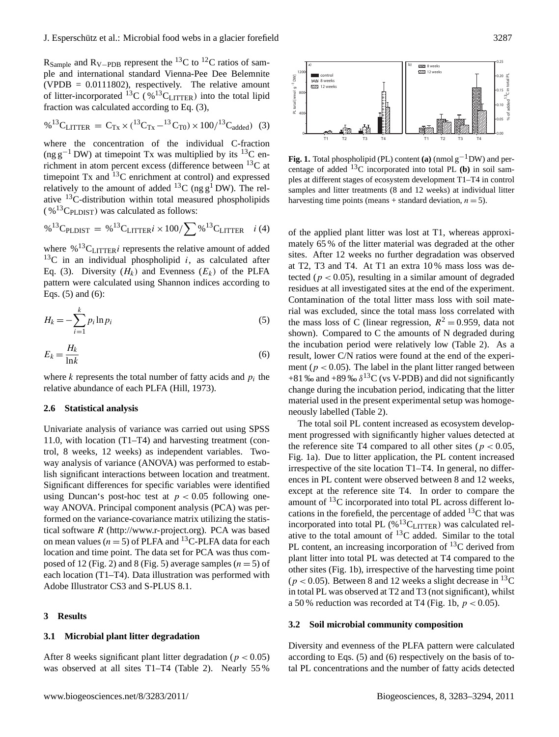R<sub>Sample</sub> and R<sub>V−PDB</sub> represent the <sup>13</sup>C to <sup>12</sup>C ratios of sample and international standard Vienna-Pee Dee Belemnite (VPDB =  $0.0111802$ ), respectively. The relative amount of litter-incorporated <sup>13</sup>C ( $\%$ <sup>13</sup>C<sub>LITTER</sub>) into the total lipid fraction was calculated according to Eq. (3),

$$
\%^{13}C_{LITTER} = C_{Tx} \times ({}^{13}C_{Tx} - {}^{13}C_{T0}) \times 100/{}^{13}C_{added})
$$
 (3)

where the concentration of the individual C-fraction (ng g<sup>-1</sup> DW) at timepoint Tx was multiplied by its <sup>13</sup>C enrichment in atom percent excess (difference between  $^{13}$ C at timepoint Tx and <sup>13</sup>C enrichment at control) and expressed relatively to the amount of added <sup>13</sup>C (ng  $g<sup>1</sup>$  DW). The relative <sup>13</sup>C-distribution within total measured phospholipids  $(\%$ <sup>13</sup>C<sub>PLDIST</sub>) was calculated as follows:

$$
\%^{13}C_{\text{PLDIST}} = \%^{13}C_{\text{LITTER}}i \times 100 / \sum \%^{13}C_{\text{LITTER}} \quad i \text{ (4)}
$$

where  $%$ <sup>13</sup>C<sub>LITTER</sub>*i* represents the relative amount of added  $13C$  in an individual phospholipid *i*, as calculated after Eq. (3). Diversity  $(H_k)$  and Evenness  $(E_k)$  of the PLFA pattern were calculated using Shannon indices according to Eqs. (5) and (6):

$$
H_k = -\sum_{i=1}^k p_i \ln p_i \tag{5}
$$

$$
E_k = \frac{H_k}{\ln k} \tag{6}
$$

where  $k$  represents the total number of fatty acids and  $p_i$  the relative abundance of each PLFA (Hill, 1973).

### **2.6 Statistical analysis**

Univariate analysis of variance was carried out using SPSS 11.0, with location (T1–T4) and harvesting treatment (control, 8 weeks, 12 weeks) as independent variables. Twoway analysis of variance (ANOVA) was performed to establish significant interactions between location and treatment. Significant differences for specific variables were identified using Duncan's post-hoc test at  $p < 0.05$  following oneway ANOVA. Principal component analysis (PCA) was performed on the variance-covariance matrix utilizing the statistical software  $R$  [\(http://www.r-project.org\)](http://www.r-project.org). PCA was based on mean values ( $n = 5$ ) of PLFA and <sup>13</sup>C-PLFA data for each location and time point. The data set for PCA was thus composed of 12 (Fig. 2) and 8 (Fig. 5) average samples  $(n = 5)$  of each location (T1–T4). Data illustration was performed with Adobe Illustrator CS3 and S-PLUS 8.1.

### **3 Results**

# **3.1 Microbial plant litter degradation**

After 8 weeks significant plant litter degradation ( $p < 0.05$ ) was observed at all sites T1–T4 (Table 2). Nearly 55 %



**Fig. 1.** Total phospholipid (PL) content **(a)** (nmol g−1DW) and percentage of added  $^{13}$ C incorporated into total PL (b) in soil samples at different stages of ecosystem development T1–T4 in control samples and litter treatments (8 and 12 weeks) at individual litter harvesting time points (means + standard deviation,  $n = 5$ ).

of the applied plant litter was lost at T1, whereas approximately 65 % of the litter material was degraded at the other sites. After 12 weeks no further degradation was observed at T2, T3 and T4. At T1 an extra 10 % mass loss was detected ( $p < 0.05$ ), resulting in a similar amount of degraded residues at all investigated sites at the end of the experiment. Contamination of the total litter mass loss with soil material was excluded, since the total mass loss correlated with the mass loss of C (linear regression,  $R^2 = 0.959$ , data not shown). Compared to C the amounts of N degraded during the incubation period were relatively low (Table 2). As a result, lower C/N ratios were found at the end of the experiment ( $p < 0.05$ ). The label in the plant litter ranged between +81 ‰ and +89 ‰  $\delta^{13}C$  (vs V-PDB) and did not significantly change during the incubation period, indicating that the litter material used in the present experimental setup was homogeneously labelled (Table 2).

The total soil PL content increased as ecosystem development progressed with significantly higher values detected at the reference site T4 compared to all other sites ( $p < 0.05$ , Fig. 1a). Due to litter application, the PL content increased irrespective of the site location T1–T4. In general, no differences in PL content were observed between 8 and 12 weeks, except at the reference site T4. In order to compare the amount of <sup>13</sup>C incorporated into total PL across different locations in the forefield, the percentage of added  $^{13}$ C that was incorporated into total PL  $(\%$ <sup>13</sup>C<sub>LITTER</sub>) was calculated relative to the total amount of  ${}^{13}C$  added. Similar to the total PL content, an increasing incorporation of  $^{13}$ C derived from plant litter into total PL was detected at T4 compared to the other sites (Fig. 1b), irrespective of the harvesting time point  $(p < 0.05)$ . Between 8 and 12 weeks a slight decrease in <sup>13</sup>C in total PL was observed at T2 and T3 (not significant), whilst a 50 % reduction was recorded at T4 (Fig. 1b,  $p < 0.05$ ).

## **3.2 Soil microbial community composition**

Diversity and evenness of the PLFA pattern were calculated according to Eqs. (5) and (6) respectively on the basis of total PL concentrations and the number of fatty acids detected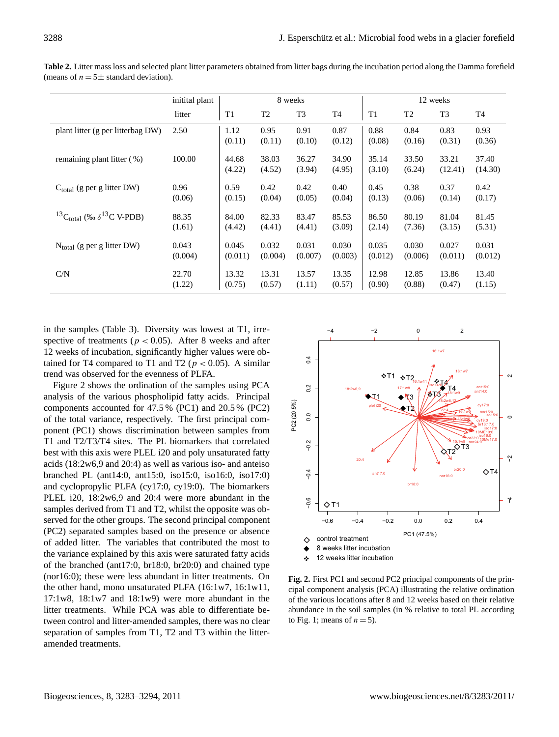|                                                | initital plant | 8 weeks         |                 |                 |                 | 12 weeks        |                 |                  |                  |
|------------------------------------------------|----------------|-----------------|-----------------|-----------------|-----------------|-----------------|-----------------|------------------|------------------|
|                                                | litter         | T1              | T <sub>2</sub>  | T <sub>3</sub>  | T <sub>4</sub>  | T <sub>1</sub>  | T <sub>2</sub>  | T <sub>3</sub>   | T4               |
| plant litter (g per litterbag DW)              | 2.50           | 1.12<br>(0.11)  | 0.95<br>(0.11)  | 0.91<br>(0.10)  | 0.87<br>(0.12)  | 0.88<br>(0.08)  | 0.84<br>(0.16)  | 0.83<br>(0.31)   | 0.93<br>(0.36)   |
| remaining plant litter (%)                     | 100.00         | 44.68<br>(4.22) | 38.03<br>(4.52) | 36.27<br>(3.94) | 34.90<br>(4.95) | 35.14<br>(3.10) | 33.50<br>(6.24) | 33.21<br>(12.41) | 37.40<br>(14.30) |
| $C_{total}$ (g per g litter DW)                | 0.96           | 0.59            | 0.42            | 0.42            | 0.40            | 0.45            | 0.38            | 0.37             | 0.42             |
|                                                | (0.06)         | (0.15)          | (0.04)          | (0.05)          | (0.04)          | (0.13)          | (0.06)          | (0.14)           | (0.17)           |
| ${}^{13}C_{total}$ (‰ $\delta {}^{13}C$ V-PDB) | 88.35          | 84.00           | 82.33           | 83.47           | 85.53           | 86.50           | 80.19           | 81.04            | 81.45            |
|                                                | (1.61)         | (4.42)          | (4.41)          | (4.41)          | (3.09)          | (2.14)          | (7.36)          | (3.15)           | (5.31)           |
| $N_{total}$ (g per g litter DW)                | 0.043          | 0.045           | 0.032           | 0.031           | 0.030           | 0.035           | 0.030           | 0.027            | 0.031            |
|                                                | (0.004)        | (0.011)         | (0.004)         | (0.007)         | (0.003)         | (0.012)         | (0.006)         | (0.011)          | (0.012)          |
| C/N                                            | 22.70          | 13.32           | 13.31           | 13.57           | 13.35           | 12.98           | 12.85           | 13.86            | 13.40            |
|                                                | (1.22)         | (0.75)          | (0.57)          | (1.11)          | (0.57)          | (0.90)          | (0.88)          | (0.47)           | (1.15)           |

**Table 2.** Litter mass loss and selected plant litter parameters obtained from litter bags during the incubation period along the Damma forefield (means of  $n = 5 \pm$  standard deviation).

in the samples (Table 3). Diversity was lowest at T1, irrespective of treatments ( $p < 0.05$ ). After 8 weeks and after 12 weeks of incubation, significantly higher values were obtained for T4 compared to T1 and T2 ( $p < 0.05$ ). A similar trend was observed for the evenness of PLFA.

Figure 2 shows the ordination of the samples using PCA analysis of the various phospholipid fatty acids. Principal components accounted for 47.5 % (PC1) and 20.5 % (PC2) of the total variance, respectively. The first principal component (PC1) shows discrimination between samples from T1 and T2/T3/T4 sites. The PL biomarkers that correlated best with this axis were PLEL i20 and poly unsaturated fatty acids (18:2w6,9 and 20:4) as well as various iso- and anteiso branched PL (ant14:0, ant15:0, iso15:0, iso16:0, iso17:0) and cyclopropylic PLFA (cy17:0, cy19:0). The biomarkers PLEL i20, 18:2w6,9 and 20:4 were more abundant in the samples derived from T1 and T2, whilst the opposite was observed for the other groups. The second principal component (PC2) separated samples based on the presence or absence of added litter. The variables that contributed the most to the variance explained by this axis were saturated fatty acids of the branched (ant17:0, br18:0, br20:0) and chained type (nor16:0); these were less abundant in litter treatments. On the other hand, mono unsaturated PLFA (16:1w7, 16:1w11, 17:1w8, 18:1w7 and 18:1w9) were more abundant in the litter treatments. While PCA was able to differentiate between control and litter-amended samples, there was no clear separation of samples from T1, T2 and T3 within the litteramended treatments.



**Fig. 2.** First PC1 and second PC2 principal components of the principal component analysis (PCA) illustrating the relative ordination of the various locations after 8 and 12 weeks based on their relative abundance in the soil samples (in % relative to total PL according to Fig. 1; means of  $n = 5$ ).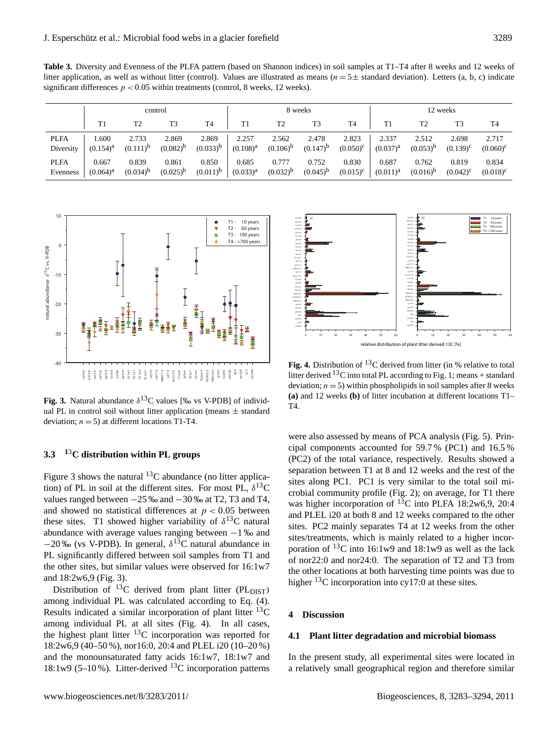Table 3. Diversity and Evenness of the PLFA pattern (based on Shannon indices) in soil samples at T1–T4 after 8 weeks and 12 weeks of litter application, as well as without litter (control). Values are illustrated as means ( $n = 5 \pm$  standard deviation). Letters (a, b, c) indicate significant differences  $p < 0.05$  within treatments (control, 8 weeks, 12 weeks).

|             | control       |                |                | 8 weeks        |                |                |               | 12 weeks          |               |               |                |                   |
|-------------|---------------|----------------|----------------|----------------|----------------|----------------|---------------|-------------------|---------------|---------------|----------------|-------------------|
|             | T1            | T <sub>2</sub> | T <sub>3</sub> | T <sub>4</sub> | T <sub>1</sub> | T <sub>2</sub> | T3            | T <sub>4</sub>    | T1            | T2            | T <sub>3</sub> | T <sub>4</sub>    |
| <b>PLFA</b> | 1.600         | 2.733          | 2.869          | 2.869          | 2.257          | 2.562          | 2.478         | 2.823             | 2.337         | 2.512         | 2.698          | 2.717             |
| Diversity   | $(0.154)^{a}$ | $(0.111)^{b}$  | $(0.082)^{b}$  | $(0.033)^b$    | $(0.108)^{a}$  | $(0.106)^{b}$  | $(0.147)^{b}$ | $(0.050)^{\circ}$ | $(0.037)^{a}$ | $(0.053)^{p}$ | $(0.139)^c$    | $(0.060)^{\circ}$ |
| <b>PLFA</b> | 0.667         | 0.839          | 0.861          | 0.850          | 0.685          | 0.777          | 0.752         | 0.830             | 0.687         | 0.762         | 0.819          | 0.834             |
| Evenness    | $(0.064)^{a}$ | $(0.034)^{b}$  | $(0.025)^{b}$  | $(0.011)^{b}$  | $(0.033)^{a}$  | $(0.032)^{b}$  | $(0.045)^{b}$ | $(0.015)^{c}$     | $(0.011)^{a}$ | $(0.016)^{p}$ | $(0.042)^c$    | $(0.018)^c$       |



**Fig. 3.** Natural abundance  $\delta^{13}$ C values [‰ vs V-PDB] of individual PL in control soil without litter application (means  $\pm$  standard deviation;  $n = 5$ ) at different locations T1-T4.

# **3.3 <sup>1</sup>**3**C distribution within PL groups**

Figure 3 shows the natural  ${}^{13}$ C abundance (no litter application) of PL in soil at the different sites. For most PL,  $\delta^{13}$ C values ranged between  $-25$  ‰ and  $-30$  ‰ at T2, T3 and T4, and showed no statistical differences at  $p < 0.05$  between these sites. T1 showed higher variability of  $\delta^{13}$ C natural abundance with average values ranging between −1 ‰ and  $-20\%$  (vs V-PDB). In general,  $\delta^{13}$ C natural abundance in PL significantly differed between soil samples from T1 and the other sites, but similar values were observed for 16:1w7 and 18:2w6,9 (Fig. 3).

Distribution of  $^{13}$ C derived from plant litter (PL<sub>DIST</sub>) among individual PL was calculated according to Eq. (4). Results indicated a similar incorporation of plant litter  $^{13}$ C among individual PL at all sites (Fig. 4). In all cases, the highest plant litter <sup>13</sup>C incorporation was reported for 18:2w6,9 (40–50 %), nor16:0, 20:4 and PLEL i20 (10–20 %) and the monounsaturated fatty acids 16:1w7, 18:1w7 and 18:1w9 (5–10%). Litter-derived <sup>13</sup>C incorporation patterns



**Fig. 4.** Distribution of  $^{13}$ C derived from litter (in % relative to total litter derived  $^{13}$ C into total PL according to Fig. 1; means + standard deviation;  $n = 5$ ) within phospholipids in soil samples after 8 weeks **(a)** and 12 weeks **(b)** of litter incubation at different locations T1– T4.

were also assessed by means of PCA analysis (Fig. 5). Principal components accounted for 59.7 % (PC1) and 16.5 % (PC2) of the total variance, respectively. Results showed a separation between T1 at 8 and 12 weeks and the rest of the sites along PC1. PC1 is very similar to the total soil microbial community profile (Fig. 2); on average, for T1 there was higher incorporation of <sup>13</sup>C into PLFA 18:2w6,9, 20:4 and PLEL i20 at both 8 and 12 weeks compared to the other sites. PC2 mainly separates T4 at 12 weeks from the other sites/treatments, which is mainly related to a higher incorporation of  $^{13}$ C into 16:1w9 and 18:1w9 as well as the lack of nor22:0 and nor24:0. The separation of T2 and T3 from the other locations at both harvesting time points was due to higher  $^{13}$ C incorporation into cy17:0 at these sites.

# **4 Discussion**

### **4.1 Plant litter degradation and microbial biomass**

In the present study, all experimental sites were located in a relatively small geographical region and therefore similar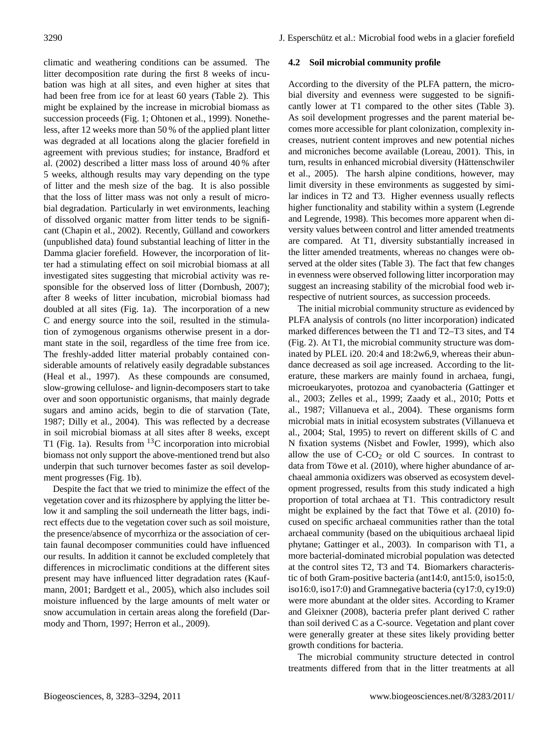climatic and weathering conditions can be assumed. The litter decomposition rate during the first 8 weeks of incubation was high at all sites, and even higher at sites that had been free from ice for at least 60 years (Table 2). This might be explained by the increase in microbial biomass as succession proceeds (Fig. 1; Ohtonen et al., 1999). Nonetheless, after 12 weeks more than 50 % of the applied plant litter was degraded at all locations along the glacier forefield in agreement with previous studies; for instance, Bradford et al. (2002) described a litter mass loss of around 40 % after 5 weeks, although results may vary depending on the type of litter and the mesh size of the bag. It is also possible that the loss of litter mass was not only a result of microbial degradation. Particularly in wet environments, leaching of dissolved organic matter from litter tends to be significant (Chapin et al., 2002). Recently, Gülland and coworkers (unpublished data) found substantial leaching of litter in the Damma glacier forefield. However, the incorporation of litter had a stimulating effect on soil microbial biomass at all investigated sites suggesting that microbial activity was responsible for the observed loss of litter (Dornbush, 2007); after 8 weeks of litter incubation, microbial biomass had doubled at all sites (Fig. 1a). The incorporation of a new C and energy source into the soil, resulted in the stimulation of zymogenous organisms otherwise present in a dormant state in the soil, regardless of the time free from ice. The freshly-added litter material probably contained considerable amounts of relatively easily degradable substances (Heal et al., 1997). As these compounds are consumed, slow-growing cellulose- and lignin-decomposers start to take over and soon opportunistic organisms, that mainly degrade sugars and amino acids, begin to die of starvation (Tate, 1987; Dilly et al., 2004). This was reflected by a decrease in soil microbial biomass at all sites after 8 weeks, except T1 (Fig. 1a). Results from  $^{13}$ C incorporation into microbial biomass not only support the above-mentioned trend but also underpin that such turnover becomes faster as soil development progresses (Fig. 1b).

Despite the fact that we tried to minimize the effect of the vegetation cover and its rhizosphere by applying the litter below it and sampling the soil underneath the litter bags, indirect effects due to the vegetation cover such as soil moisture, the presence/absence of mycorrhiza or the association of certain faunal decomposer communities could have influenced our results. In addition it cannot be excluded completely that differences in microclimatic conditions at the different sites present may have influenced litter degradation rates (Kaufmann, 2001; Bardgett et al., 2005), which also includes soil moisture influenced by the large amounts of melt water or snow accumulation in certain areas along the forefield (Darmody and Thorn, 1997; Herron et al., 2009).

# **4.2 Soil microbial community profile**

According to the diversity of the PLFA pattern, the microbial diversity and evenness were suggested to be significantly lower at T1 compared to the other sites (Table 3). As soil development progresses and the parent material becomes more accessible for plant colonization, complexity increases, nutrient content improves and new potential niches and microniches become available (Loreau, 2001). This, in turn, results in enhanced microbial diversity (Hättenschwiler et al., 2005). The harsh alpine conditions, however, may limit diversity in these environments as suggested by similar indices in T2 and T3. Higher evenness usually reflects higher functionality and stability within a system (Legrende and Legrende, 1998). This becomes more apparent when diversity values between control and litter amended treatments are compared. At T1, diversity substantially increased in the litter amended treatments, whereas no changes were observed at the older sites (Table 3). The fact that few changes in evenness were observed following litter incorporation may suggest an increasing stability of the microbial food web irrespective of nutrient sources, as succession proceeds.

The initial microbial community structure as evidenced by PLFA analysis of controls (no litter incorporation) indicated marked differences between the T1 and T2–T3 sites, and T4 (Fig. 2). At T1, the microbial community structure was dominated by PLEL i20. 20:4 and 18:2w6,9, whereas their abundance decreased as soil age increased. According to the literature, these markers are mainly found in archaea, fungi, microeukaryotes, protozoa and cyanobacteria (Gattinger et al., 2003; Zelles et al., 1999; Zaady et al., 2010; Potts et al., 1987; Villanueva et al., 2004). These organisms form microbial mats in initial ecosystem substrates (Villanueva et al., 2004; Stal, 1995) to revert on different skills of C and N fixation systems (Nisbet and Fowler, 1999), which also allow the use of  $C-CO<sub>2</sub>$  or old C sources. In contrast to data from Töwe et al.  $(2010)$ , where higher abundance of archaeal ammonia oxidizers was observed as ecosystem development progressed, results from this study indicated a high proportion of total archaea at T1. This contradictory result might be explained by the fact that Töwe et al.  $(2010)$  focused on specific archaeal communities rather than the total archaeal community (based on the ubiquitious archaeal lipid phytane; Gattinger et al., 2003). In comparison with T1, a more bacterial-dominated microbial population was detected at the control sites T2, T3 and T4. Biomarkers characteristic of both Gram-positive bacteria (ant14:0, ant15:0, iso15:0, iso16:0, iso17:0) and Gramnegative bacteria (cy17:0, cy19:0) were more abundant at the older sites. According to Kramer and Gleixner (2008), bacteria prefer plant derived C rather than soil derived C as a C-source. Vegetation and plant cover were generally greater at these sites likely providing better growth conditions for bacteria.

The microbial community structure detected in control treatments differed from that in the litter treatments at all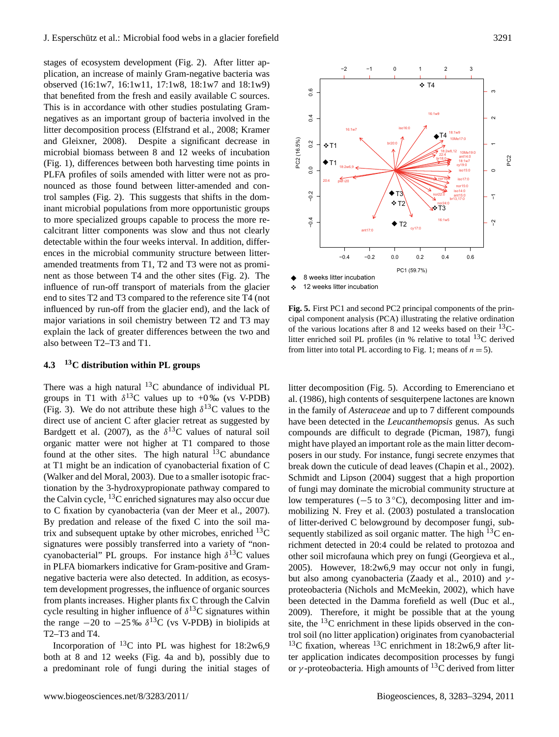stages of ecosystem development (Fig. 2). After litter application, an increase of mainly Gram-negative bacteria was observed (16:1w7, 16:1w11, 17:1w8, 18:1w7 and 18:1w9) that benefited from the fresh and easily available C sources. This is in accordance with other studies postulating Gramnegatives as an important group of bacteria involved in the litter decomposition process (Elfstrand et al., 2008; Kramer and Gleixner, 2008). Despite a significant decrease in microbial biomass between 8 and 12 weeks of incubation (Fig. 1), differences between both harvesting time points in PLFA profiles of soils amended with litter were not as pronounced as those found between litter-amended and control samples (Fig. 2). This suggests that shifts in the dominant microbial populations from more opportunistic groups to more specialized groups capable to process the more recalcitrant litter components was slow and thus not clearly detectable within the four weeks interval. In addition, differences in the microbial community structure between litteramended treatments from T1, T2 and T3 were not as prominent as those between T4 and the other sites (Fig. 2). The influence of run-off transport of materials from the glacier end to sites T2 and T3 compared to the reference site T4 (not influenced by run-off from the glacier end), and the lack of major variations in soil chemistry between T2 and T3 may explain the lack of greater differences between the two and also between T2–T3 and T1.

# **4.3 <sup>13</sup>C distribution within PL groups**

There was a high natural  $^{13}$ C abundance of individual PL groups in T1 with  $\delta^{13}$ C values up to +0‰ (vs V-PDB) (Fig. 3). We do not attribute these high  $\delta^{13}$ C values to the direct use of ancient C after glacier retreat as suggested by Bardgett et al. (2007), as the  $\delta^{13}$ C values of natural soil organic matter were not higher at T1 compared to those found at the other sites. The high natural  $^{13}$ C abundance at T1 might be an indication of cyanobacterial fixation of C (Walker and del Moral, 2003). Due to a smaller isotopic fractionation by the 3-hydroxypropionate pathway compared to the Calvin cycle,  $^{13}$ C enriched signatures may also occur due to C fixation by cyanobacteria (van der Meer et al., 2007). By predation and release of the fixed C into the soil matrix and subsequent uptake by other microbes, enriched  $^{13}$ C signatures were possibly transferred into a variety of "noncyanobacterial" PL groups. For instance high  $\delta^{13}$ C values in PLFA biomarkers indicative for Gram-positive and Gramnegative bacteria were also detected. In addition, as ecosystem development progresses, the influence of organic sources from plants increases. Higher plants fix C through the Calvin cycle resulting in higher influence of  $\delta^{13}$ C signatures within the range  $-20$  to  $-25\%$   $\delta^{13}$ C (vs V-PDB) in biolipids at T2–T3 and T4.

Incorporation of  $^{13}$ C into PL was highest for 18:2w6,9 both at 8 and 12 weeks (Fig. 4a and b), possibly due to a predominant role of fungi during the initial stages of



**Fig. 5.** First PC1 and second PC2 principal components of the principal component analysis (PCA) illustrating the relative ordination of the various locations after 8 and 12 weeks based on their  $^{13}C$ litter enriched soil PL profiles (in  $%$  relative to total  ${}^{13}C$  derived from litter into total PL according to Fig. 1; means of  $n = 5$ ).

litter decomposition (Fig. 5). According to Emerenciano et al. (1986), high contents of sesquiterpene lactones are known in the family of *Asteraceae* and up to 7 different compounds have been detected in the *Leucanthemopsis* genus. As such compounds are difficult to degrade (Picman, 1987), fungi might have played an important role as the main litter decomposers in our study. For instance, fungi secrete enzymes that break down the cuticule of dead leaves (Chapin et al., 2002). Schmidt and Lipson (2004) suggest that a high proportion of fungi may dominate the microbial community structure at low temperatures (−5 to 3 ◦C), decomposing litter and immobilizing N. Frey et al. (2003) postulated a translocation of litter-derived C belowground by decomposer fungi, subsequently stabilized as soil organic matter. The high  ${}^{13}C$  enrichment detected in 20:4 could be related to protozoa and other soil microfauna which prey on fungi (Georgieva et al., 2005). However, 18:2w6,9 may occur not only in fungi, but also among cyanobacteria (Zaady et al., 2010) and  $\gamma$ proteobacteria (Nichols and McMeekin, 2002), which have been detected in the Damma forefield as well (Duc et al., 2009). Therefore, it might be possible that at the young site, the <sup>13</sup>C enrichment in these lipids observed in the control soil (no litter application) originates from cyanobacterial <sup>13</sup>C fixation, whereas <sup>13</sup>C enrichment in 18:2w6,9 after litter application indicates decomposition processes by fungi or  $\gamma$ -proteobacteria. High amounts of <sup>13</sup>C derived from litter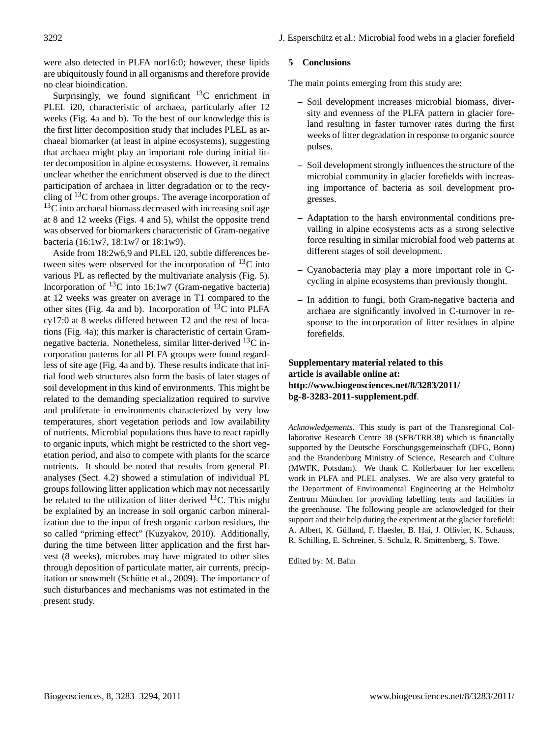were also detected in PLFA nor16:0; however, these lipids are ubiquitously found in all organisms and therefore provide no clear bioindication.

Surprisingly, we found significant  ${}^{13}C$  enrichment in PLEL i20, characteristic of archaea, particularly after 12 weeks (Fig. 4a and b). To the best of our knowledge this is the first litter decomposition study that includes PLEL as archaeal biomarker (at least in alpine ecosystems), suggesting that archaea might play an important role during initial litter decomposition in alpine ecosystems. However, it remains unclear whether the enrichment observed is due to the direct participation of archaea in litter degradation or to the recycling of  $13C$  from other groups. The average incorporation of  $13<sup>C</sup>$  into archaeal biomass decreased with increasing soil age at 8 and 12 weeks (Figs. 4 and 5), whilst the opposite trend was observed for biomarkers characteristic of Gram-negative bacteria (16:1w7, 18:1w7 or 18:1w9).

Aside from 18:2w6,9 and PLEL i20, subtle differences between sites were observed for the incorporation of  $^{13}$ C into various PL as reflected by the multivariate analysis (Fig. 5). Incorporation of  ${}^{13}C$  into 16:1w7 (Gram-negative bacteria) at 12 weeks was greater on average in T1 compared to the other sites (Fig. 4a and b). Incorporation of  $^{13}$ C into PLFA cy17:0 at 8 weeks differed between T2 and the rest of locations (Fig. 4a); this marker is characteristic of certain Gramnegative bacteria. Nonetheless, similar litter-derived <sup>13</sup>C incorporation patterns for all PLFA groups were found regardless of site age (Fig. 4a and b). These results indicate that initial food web structures also form the basis of later stages of soil development in this kind of environments. This might be related to the demanding specialization required to survive and proliferate in environments characterized by very low temperatures, short vegetation periods and low availability of nutrients. Microbial populations thus have to react rapidly to organic inputs, which might be restricted to the short vegetation period, and also to compete with plants for the scarce nutrients. It should be noted that results from general PL analyses (Sect. 4.2) showed a stimulation of individual PL groups following litter application which may not necessarily be related to the utilization of litter derived  $^{13}$ C. This might be explained by an increase in soil organic carbon mineralization due to the input of fresh organic carbon residues, the so called "priming effect" (Kuzyakov, 2010). Additionally, during the time between litter application and the first harvest (8 weeks), microbes may have migrated to other sites through deposition of particulate matter, air currents, precipitation or snowmelt (Schütte et al., 2009). The importance of such disturbances and mechanisms was not estimated in the present study.

## **5 Conclusions**

The main points emerging from this study are:

- **–** Soil development increases microbial biomass, diversity and evenness of the PLFA pattern in glacier foreland resulting in faster turnover rates during the first weeks of litter degradation in response to organic source pulses.
- **–** Soil development strongly influences the structure of the microbial community in glacier forefields with increasing importance of bacteria as soil development progresses.
- **–** Adaptation to the harsh environmental conditions prevailing in alpine ecosystems acts as a strong selective force resulting in similar microbial food web patterns at different stages of soil development.
- **–** Cyanobacteria may play a more important role in Ccycling in alpine ecosystems than previously thought.
- **–** In addition to fungi, both Gram-negative bacteria and archaea are significantly involved in C-turnover in response to the incorporation of litter residues in alpine forefields.

**Supplementary material related to this article is available online at: [http://www.biogeosciences.net/8/3283/2011/](http://www.biogeosciences.net/8/3283/2011/bg-8-3283-2011-supplement.pdf) [bg-8-3283-2011-supplement.pdf](http://www.biogeosciences.net/8/3283/2011/bg-8-3283-2011-supplement.pdf)**.

*Acknowledgements.* This study is part of the Transregional Collaborative Research Centre 38 (SFB/TRR38) which is financially supported by the Deutsche Forschungsgemeinschaft (DFG, Bonn) and the Brandenburg Ministry of Science, Research and Culture (MWFK, Potsdam). We thank C. Kollerbauer for her excellent work in PLFA and PLEL analyses. We are also very grateful to the Department of Environmental Engineering at the Helmholtz Zentrum München for providing labelling tents and facilities in the greenhouse. The following people are acknowledged for their support and their help during the experiment at the glacier forefield: A. Albert, K. Gülland, F. Haesler, B. Hai, J. Ollivier, K. Schauss, R. Schilling, E. Schreiner, S. Schulz, R. Smittenberg, S. Towe. ¨

Edited by: M. Bahn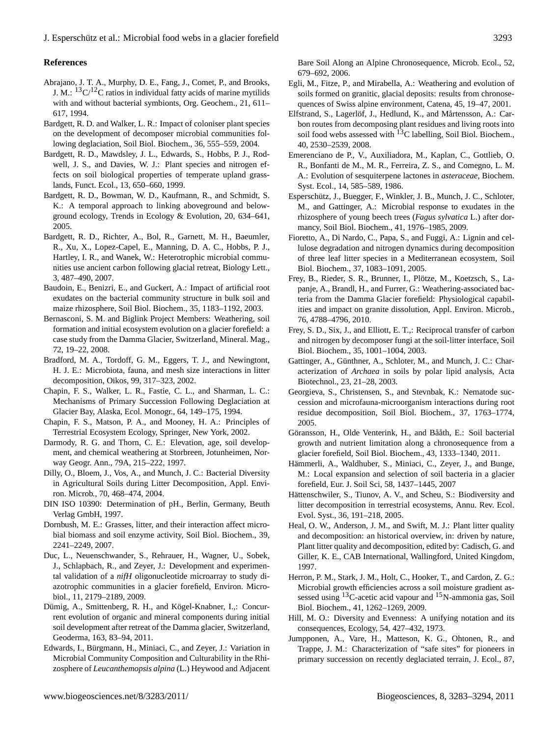# **References**

- Abrajano, J. T. A., Murphy, D. E., Fang, J., Comet, P., and Brooks, J. M.:  ${}^{13}C/{}^{12}C$  ratios in individual fatty acids of marine mytilids with and without bacterial symbionts, Org. Geochem., 21, 611– 617, 1994.
- Bardgett, R. D. and Walker, L. R.: Impact of coloniser plant species on the development of decomposer microbial communities following deglaciation, Soil Biol. Biochem., 36, 555–559, 2004.
- Bardgett, R. D., Mawdsley, J. L., Edwards, S., Hobbs, P. J., Rodwell, J. S., and Davies, W. J.: Plant species and nitrogen effects on soil biological properties of temperate upland grasslands, Funct. Ecol., 13, 650–660, 1999.
- Bardgett, R. D., Bowman, W. D., Kaufmann, R., and Schmidt, S. K.: A temporal approach to linking aboveground and belowground ecology, Trends in Ecology & Evolution, 20, 634–641, 2005.
- Bardgett, R. D., Richter, A., Bol, R., Garnett, M. H., Baeumler, R., Xu, X., Lopez-Capel, E., Manning, D. A. C., Hobbs, P. J., Hartley, I. R., and Wanek, W.: Heterotrophic microbial communities use ancient carbon following glacial retreat, Biology Lett., 3, 487–490, 2007.
- Baudoin, E., Benizri, E., and Guckert, A.: Impact of artificial root exudates on the bacterial community structure in bulk soil and maize rhizosphere, Soil Biol. Biochem., 35, 1183–1192, 2003.
- Bernasconi, S. M. and Biglink Project Members: Weathering, soil formation and initial ecosystem evolution on a glacier forefield: a case study from the Damma Glacier, Switzerland, Mineral. Mag., 72, 19–22, 2008.
- Bradford, M. A., Tordoff, G. M., Eggers, T. J., and Newingtont, H. J. E.: Microbiota, fauna, and mesh size interactions in litter decomposition, Oikos, 99, 317–323, 2002.
- Chapin, F. S., Walker, L. R., Fastie, C. L., and Sharman, L. C.: Mechanisms of Primary Succession Following Deglaciation at Glacier Bay, Alaska, Ecol. Monogr., 64, 149–175, 1994.
- Chapin, F. S., Matson, P. A., and Mooney, H. A.: Principles of Terrestrial Ecosystem Ecology, Springer, New York, 2002.
- Darmody, R. G. and Thorn, C. E.: Elevation, age, soil development, and chemical weathering at Storbreen, Jotunheimen, Norway Geogr. Ann., 79A, 215–222, 1997.
- Dilly, O., Bloem, J., Vos, A., and Munch, J. C.: Bacterial Diversity in Agricultural Soils during Litter Decomposition, Appl. Environ. Microb., 70, 468–474, 2004.
- DIN ISO 10390: Determination of pH., Berlin, Germany, Beuth Verlag GmbH, 1997.
- Dornbush, M. E.: Grasses, litter, and their interaction affect microbial biomass and soil enzyme activity, Soil Biol. Biochem., 39, 2241–2249, 2007.
- Duc, L., Neuenschwander, S., Rehrauer, H., Wagner, U., Sobek, J., Schlapbach, R., and Zeyer, J.: Development and experimental validation of a *nifH* oligonucleotide microarray to study diazotrophic communities in a glacier forefield, Environ. Microbiol., 11, 2179–2189, 2009.
- Dümig, A., Smittenberg, R. H., and Kögel-Knabner, I.,: Concurrent evolution of organic and mineral components during initial soil development after retreat of the Damma glacier, Switzerland, Geoderma, 163, 83–94, 2011.
- Edwards, I., Bürgmann, H., Miniaci, C., and Zeyer, J.: Variation in Microbial Community Composition and Culturability in the Rhizosphere of *Leucanthemopsis alpina* (L.) Heywood and Adjacent

Bare Soil Along an Alpine Chronosequence, Microb. Ecol., 52, 679–692, 2006.

- Egli, M., Fitze, P., and Mirabella, A.: Weathering and evolution of soils formed on granitic, glacial deposits: results from chronosequences of Swiss alpine environment, Catena, 45, 19–47, 2001.
- Elfstrand, S., Lagerlöf, J., Hedlund, K., and Mårtensson, A.: Carbon routes from decomposing plant residues and living roots into soil food webs assessed with  ${}^{13}C$  labelling, Soil Biol. Biochem., 40, 2530–2539, 2008.
- Emerenciano de P., V., Auxiliadora, M., Kaplan, C., Gottlieb, O. R., Bonfanti de M., M. R., Ferreira, Z. S., and Comegno, L. M. A.: Evolution of sesquiterpene lactones in *asteraceae*, Biochem. Syst. Ecol., 14, 585–589, 1986.
- Esperschütz, J., Buegger, F., Winkler, J. B., Munch, J. C., Schloter, M., and Gattinger, A.: Microbial response to exudates in the rhizosphere of young beech trees (*Fagus sylvatica* L.) after dormancy, Soil Biol. Biochem., 41, 1976–1985, 2009.
- Fioretto, A., Di Nardo, C., Papa, S., and Fuggi, A.: Lignin and cellulose degradation and nitrogen dynamics during decomposition of three leaf litter species in a Mediterranean ecosystem, Soil Biol. Biochem., 37, 1083–1091, 2005.
- Frey, B., Rieder, S. R., Brunner, I., Plötze, M., Koetzsch, S., Lapanje, A., Brandl, H., and Furrer, G.: Weathering-associated bacteria from the Damma Glacier forefield: Physiological capabilities and impact on granite dissolution, Appl. Environ. Microb., 76, 4788–4796, 2010.
- Frey, S. D., Six, J., and Elliott, E. T.,: Reciprocal transfer of carbon and nitrogen by decomposer fungi at the soil-litter interface, Soil Biol. Biochem., 35, 1001–1004, 2003.
- Gattinger, A., Günthner, A., Schloter, M., and Munch, J. C.: Characterization of *Archaea* in soils by polar lipid analysis, Acta Biotechnol., 23, 21–28, 2003.
- Georgieva, S., Christensen, S., and Stevnbak, K.: Nematode succession and microfauna-microorganism interactions during root residue decomposition, Soil Biol. Biochem., 37, 1763–1774, 2005.
- Göransson, H., Olde Venterink, H., and Bååth, E.: Soil bacterial growth and nutrient limitation along a chronosequence from a glacier forefield, Soil Biol. Biochem., 43, 1333–1340, 2011.
- Hämmerli, A., Waldhuber, S., Miniaci, C., Zeyer, J., and Bunge, M.: Local expansion and selection of soil bacteria in a glacier forefield, Eur. J. Soil Sci, 58, 1437–1445, 2007
- Hättenschwiler, S., Tiunov, A. V., and Scheu, S.: Biodiversity and litter decomposition in terrestrial ecosystems, Annu. Rev. Ecol. Evol. Syst., 36, 191–218, 2005.
- Heal, O. W., Anderson, J. M., and Swift, M. J.: Plant litter quality and decomposition: an historical overview, in: driven by nature, Plant litter quality and decomposition, edited by: Cadisch, G. and Giller, K. E., CAB International, Wallingford, United Kingdom, 1997.
- Herron, P. M., Stark, J. M., Holt, C., Hooker, T., and Cardon, Z. G.: Microbial growth efficiencies across a soil moisture gradient assessed using <sup>13</sup>C-acetic acid vapour and <sup>15</sup>N-ammonia gas, Soil Biol. Biochem., 41, 1262–1269, 2009.
- Hill, M. O.: Diversity and Evenness: A unifying notation and its consequences, Ecology, 54, 427–432, 1973.
- Jumpponen, A., Vare, H., Matteson, K. G., Ohtonen, R., and Trappe, J. M.: Characterization of "safe sites" for pioneers in primary succession on recently deglaciated terrain, J. Ecol., 87,